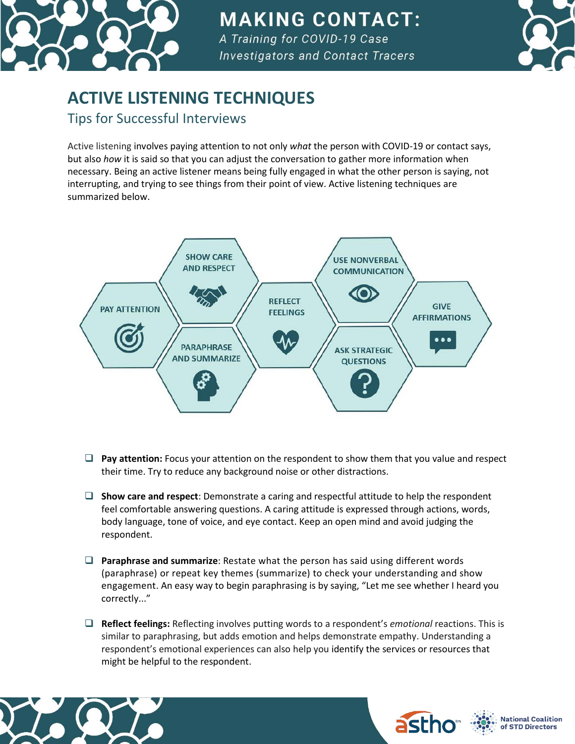

## **MAKING CONTACT:**

A Training for COVID-19 Case **Investigators and Contact Tracers** 



## **ACTIVE LISTENING TECHNIQUES**

Tips for Successful Interviews

Active listening involves paying attention to not only *what* the person with COVID-19 or contact says, but also *how* it is said so that you can adjust the conversation to gather more information when necessary. Being an active listener means being fully engaged in what the other person is saying, not interrupting, and trying to see things from their point of view. Active listening techniques are summarized below.



- ❑ **Pay attention:** Focus your attention on the respondent to show them that you value and respect their time. Try to reduce any background noise or other distractions.
- ❑ **Show care and respect**: Demonstrate a caring and respectful attitude to help the respondent feel comfortable answering questions. A caring attitude is expressed through actions, words, body language, tone of voice, and eye contact. Keep an open mind and avoid judging the respondent.
- ❑ **Paraphrase and summarize**: Restate what the person has said using different words (paraphrase) or repeat key themes (summarize) to check your understanding and show engagement. An easy way to begin paraphrasing is by saying, "Let me see whether I heard you correctly..."
- ❑ **Reflect feelings:** Reflecting involves putting words to a respondent's *emotional* reactions. This is similar to paraphrasing, but adds emotion and helps demonstrate empathy. Understanding a respondent's emotional experiences can also help you identify the services or resources that might be helpful to the respondent.